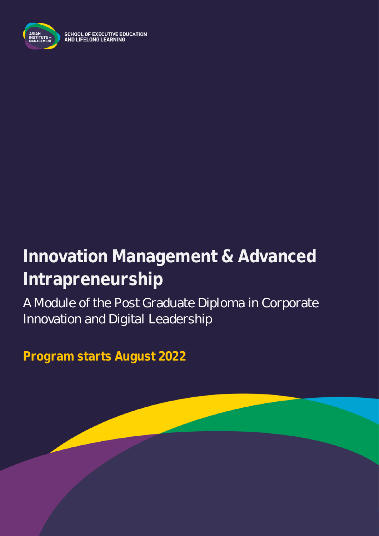

SCHOOL OF EXECUTIVE EDUCATION<br>AND LIFELONG LEARNING

# **Innovation Management & Advanced Intrapreneurship**

A Module of the Post Graduate Diploma in Corporate Innovation and Digital Leadership

**Program starts August 2022**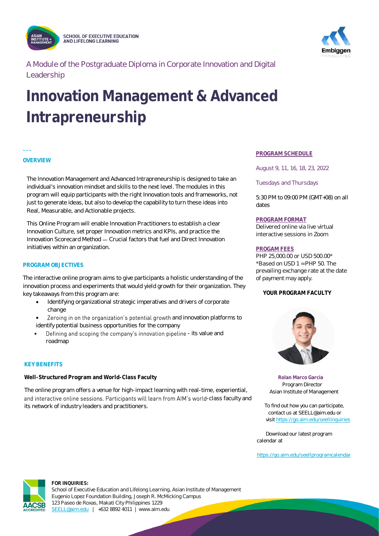

**SCHOOL OF EXECUTIVE EDUCATION** AND LIFELONG LEARNING



A Module of the Postgraduate Diploma in Corporate Innovation and Digital Leadership

## **Innovation Management & Advanced Intrapreneurship**

#### **OVERVIEW**

**\_\_\_**

The Innovation Management and Advanced Intrapreneurship is designed to take an individual's innovation mindset and skills to the next level. The modules in this program will equip participants with the right Innovation tools and frameworks, not just to generate ideas, but also to develop the capability to turn these ideas into Real, Measurable, and Actionable projects.

This Online Program will enable Innovation Practitioners to establish a clear Innovation Culture, set proper Innovation metrics and KPIs, and practice the Innovation Scorecard Method - Crucial factors that fuel and Direct Innovation initiatives within an organization.

#### **PROGRAM OBJECTIVES**

The interactive online program aims to give participants a holistic understanding of the innovation process and experiments that would yield growth for their organization. They key takeaways from this program are:

- Identifying organizational strategic imperatives and drivers of corporate change
- Zeroing in on the organization's potential growth and innovation platforms to identify potential business opportunities for the company
- Defining and scoping the company's innovation pipeline its value and roadmap

#### **KEY BENEFITS**

**Well-Structured Program and World-Class Faculty**

The online program offers a venue for high-impact learning with real-time, experiential, and interactive online sessions. Participants will learn from AIM's world-class faculty and its network of industry leaders and practitioners.

#### **PROGRAM SCHEDULE**

August 9, 11, 16, 18, 23, 2022

Tuesdays and Thursdays

5:30 PM to 09:00 PM (GMT+08) on all dates

#### **PROGRAM FORMAT**

Delivered online via live virtual interactive sessions in Zoom

#### **PROGAM FEES**

PHP 25,000.00 or USD 500.00\*  $*$ Based on USD 1 = PHP 50. The prevailing exchange rate at the date of payment may apply.

#### **YOUR PROGRAM FACULTY**



 **Rolan Marco Garcia** Program Director Asian Institute of Management

 To find out how you can participate, contact us at SEELL@aim.edu or visi[t https://go.aim.edu/seellinquiries](https://go.aim.edu/seellinquiries)

 Download our latest program calendar at

<https://go.aim.edu/seellprogramcalendar>

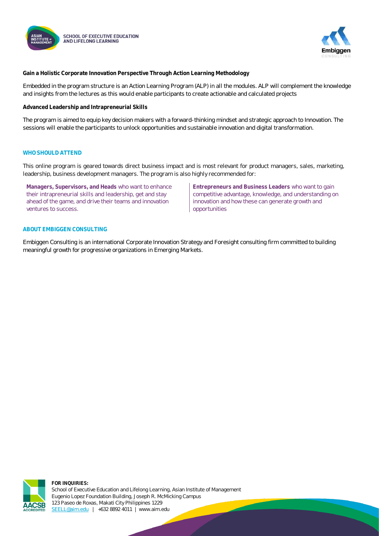



**Gain a Holistic Corporate Innovation Perspective Through Action Learning Methodology**

Embedded in the program structure is an Action Learning Program (ALP) in all the modules. ALP will complement the knowledge and insights from the lectures as this would enable participants to create actionable and calculated projects

**Advanced Leadership and Intrapreneurial Skills**

The program is aimed to equip key decision makers with a forward-thinking mindset and strategic approach to Innovation. The sessions will enable the participants to unlock opportunities and sustainable innovation and digital transformation.

#### **WHO SHOULD ATTEND**

This online program is geared towards direct business impact and is most relevant for product managers, sales, marketing, leadership, business development managers. The program is also highly recommended for:

**Managers, Supervisors, and Heads** who want to enhance their intrapreneurial skills and leadership, get and stay ahead of the game, and drive their teams and innovation ventures to success.

**Entrepreneurs and Business Leaders** who want to gain competitive advantage, knowledge, and understanding on innovation and how these can generate growth and opportunities

#### **ABOUT EMBIGGEN CONSULTING**

Embiggen Consulting is an international Corporate Innovation Strategy and Foresight consulting firm committed to building meaningful growth for progressive organizations in Emerging Markets.

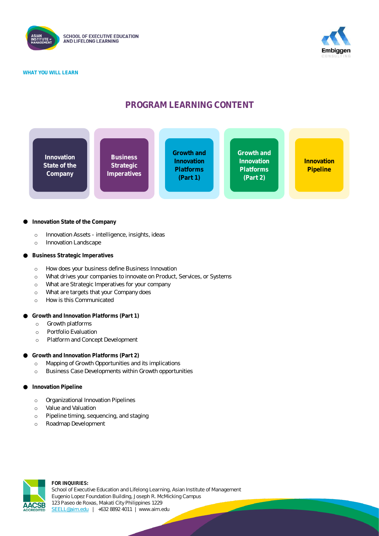

**WHAT YOU WILL LEARN**



### **PROGRAM LEARNING CONTENT**



#### **Innovation State of the Company**

- o Innovation Assets intelligence, insights, ideas
- o Innovation Landscape
- **Business Strategic Imperatives**
	- o How does your business define Business Innovation
	- o What drives your companies to innovate on Product, Services, or Systems
	- o What are Strategic Imperatives for your company
	- o What are targets that your Company does
	- o How is this Communicated
- **Growth and Innovation Platforms (Part 1)**
	- o Growth platforms
	- o Portfolio Evaluation
	- o Platform and Concept Development
- **Growth and Innovation Platforms (Part 2)**
	- o Mapping of Growth Opportunities and its implications
	- o Business Case Developments within Growth opportunities
- **Innovation Pipeline**
	- o Organizational Innovation Pipelines
	- o Value and Valuation
	- o Pipeline timing, sequencing, and staging
	- o Roadmap Development

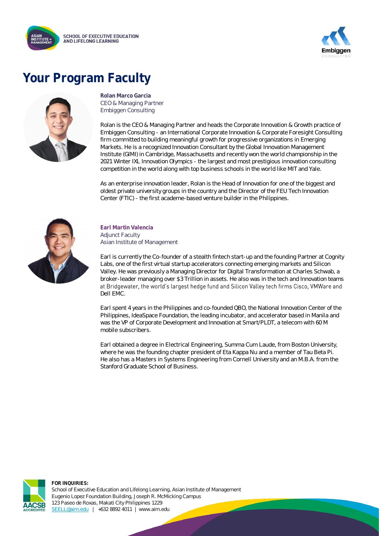



### **Your Program Faculty**



**Rolan Marco Garcia** CEO & Managing Partner Embiggen Consulting

Rolan is the CEO & Managing Partner and heads the Corporate Innovation & Growth practice of Embiggen Consulting - an International Corporate Innovation & Corporate Foresight Consulting firm committed to building meaningful growth for progressive organizations in Emerging Markets. He is a recognized Innovation Consultant by the Global Innovation Management Institute (GIMI) in Cambridge, Massachusetts and recently won the world championship in the 2021 Winter IXL Innovation Olympics - the largest and most prestigious innovation consulting competition in the world along with top business schools in the world like MIT and Yale.

As an enterprise innovation leader, Rolan is the Head of Innovation for one of the biggest and oldest private university groups in the country and the Director of the FEU Tech Innovation Center (FTIC) - the first academe-based venture builder in the Philippines.



**Earl Martin Valencia Adjunct Faculty** Asian Institute of Management

Earl is currently the Co-founder of a stealth fintech start-up and the founding Partner at Cognity Labs, one of the first virtual startup accelerators connecting emerging markets and Silicon Valley. He was previously a Managing Director for Digital Transformation at Charles Schwab, a broker-leader managing over \$3 Trillion in assets. He also was in the tech and Innovation teams at Bridgewater, the world's largest hedge fund and Silicon Valley tech firms Cisco, VMWare and Dell EMC.

Earl spent 4 years in the Philippines and co-founded QBO, the National Innovation Center of the Philippines, IdeaSpace Foundation, the leading incubator, and accelerator based in Manila and was the VP of Corporate Development and Innovation at Smart/PLDT, a telecom with 60 M mobile subscribers.

Earl obtained a degree in Electrical Engineering, Summa Cum Laude, from Boston University, where he was the founding chapter president of Eta Kappa Nu and a member of Tau Beta Pi. He also has a Masters in Systems Engineering from Cornell University and an M.B.A. from the Stanford Graduate School of Business.

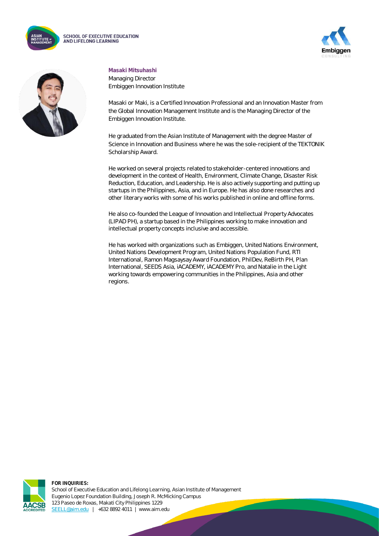





#### **Masaki Mitsuhashi**

Managing Director Embiggen Innovation Institute

Masaki or Maki, is a Certified Innovation Professional and an Innovation Master from the Global Innovation Management Institute and is the Managing Director of the Embiggen Innovation Institute.

He graduated from the Asian Institute of Management with the degree Master of Science in Innovation and Business where he was the sole-recipient of the TEKTONIK Scholarship Award.

He worked on several projects related to stakeholder-centered innovations and development in the context of Health, Environment, Climate Change, Disaster Risk Reduction, Education, and Leadership. He is also actively supporting and putting up startups in the Philippines, Asia, and in Europe. He has also done researches and other literary works with some of his works published in online and offline forms.

He also co-founded the League of Innovation and Intellectual Property Advocates (LIPAD PH), a startup based in the Philippines working to make innovation and intellectual property concepts inclusive and accessible.

He has worked with organizations such as Embiggen, United Nations Environment, United Nations Development Program, United Nations Population Fund, RTI International, Ramon Magsaysay Award Foundation, PhilDev, ReBirth PH, Plan International, SEEDS Asia, iACADEMY, iACADEMY Pro, and Natalie in the Light working towards empowering communities in the Philippines, Asia and other regions.